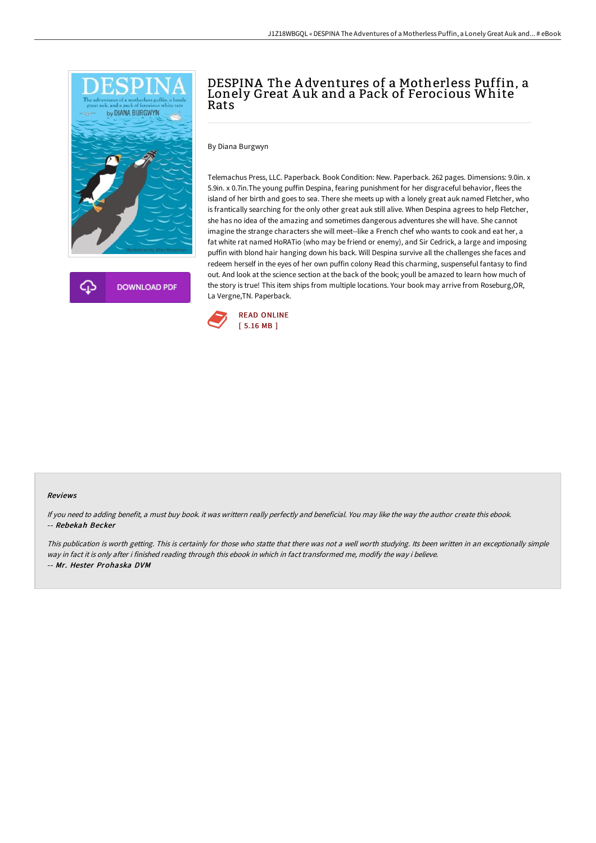

**DOWNLOAD PDF** 

# DESPINA The A dventures of a Motherless Puffin, a Lonely Great A uk and a Pack of Ferocious White Rats

By Diana Burgwyn

Telemachus Press, LLC. Paperback. Book Condition: New. Paperback. 262 pages. Dimensions: 9.0in. x 5.9in. x 0.7in.The young puffin Despina, fearing punishment for her disgraceful behavior, flees the island of her birth and goes to sea. There she meets up with a lonely great auk named Fletcher, who is frantically searching for the only other great auk still alive. When Despina agrees to help Fletcher, she has no idea of the amazing and sometimes dangerous adventures she will have. She cannot imagine the strange characters she will meet--like a French chef who wants to cook and eat her, a fat white rat named HoRATio (who may be friend or enemy), and Sir Cedrick, a large and imposing puffin with blond hair hanging down his back. Will Despina survive all the challenges she faces and redeem herself in the eyes of her own puffin colony Read this charming, suspenseful fantasy to find out. And look at the science section at the back of the book; youll be amazed to learn how much of the story is true! This item ships from multiple locations. Your book may arrive from Roseburg,OR, La Vergne,TN. Paperback.



#### Reviews

If you need to adding benefit, <sup>a</sup> must buy book. it was writtern really perfectly and beneficial. You may like the way the author create this ebook. -- Rebekah Becker

This publication is worth getting. This is certainly for those who statte that there was not <sup>a</sup> well worth studying. Its been written in an exceptionally simple way in fact it is only after i finished reading through this ebook in which in fact transformed me, modify the way i believe. -- Mr. Hester Prohaska DVM